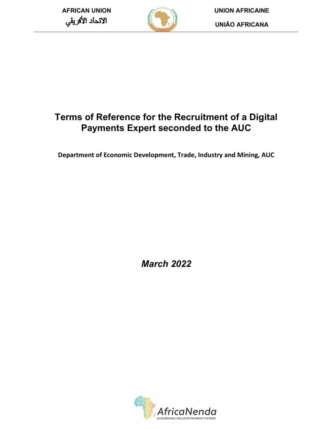

AFRICAN UNION UNION UNION UNION AFRICAINE<br>LINIÃO AFRICANA UNIÃO AFRICANA

# Terms of Reference for the Recruitment of a Digital Payments Expert seconded to the AUC

Department of Economic Development, Trade, Industry and Mining, AUC

March 2022

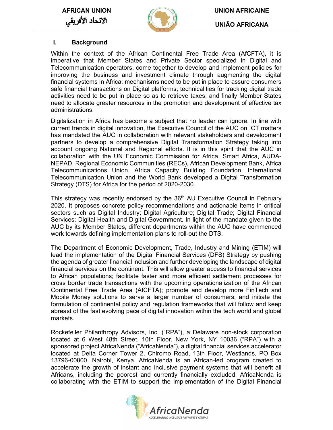الاتحاد الأفريقي



AFRICAN UNION UNION AFRICAINE

UNIÃO AFRICANA

#### I. Background

Within the context of the African Continental Free Trade Area (AfCFTA), it is imperative that Member States and Private Sector specialized in Digital and Telecommunication operators, come together to develop and implement policies for improving the business and investment climate through augmenting the digital financial systems in Africa; mechanisms need to be put in place to assure consumers safe financial transactions on Digital platforms; technicalities for tracking digital trade activities need to be put in place so as to retrieve taxes; and finally Member States need to allocate greater resources in the promotion and development of effective tax administrations.

Digitalization in Africa has become a subject that no leader can ignore. In line with current trends in digital innovation, the Executive Council of the AUC on ICT matters has mandated the AUC in collaboration with relevant stakeholders and development partners to develop a comprehensive Digital Transformation Strategy taking into account ongoing National and Regional efforts. It is in this spirit that the AUC in collaboration with the UN Economic Commission for Africa, Smart Africa, AUDA-NEPAD, Regional Economic Communities (RECs), African Development Bank, Africa Telecommunications Union, Africa Capacity Building Foundation, International Telecommunication Union and the World Bank developed a Digital Transformation Strategy (DTS) for Africa for the period of 2020-2030.

This strategy was recently endorsed by the 36<sup>th</sup> AU Executive Council in February 2020. It proposes concrete policy recommendations and actionable items in critical sectors such as Digital Industry; Digital Agriculture; Digital Trade; Digital Financial Services; Digital Health and Digital Government. In light of the mandate given to the AUC by its Member States, different departments within the AUC have commenced work towards defining implementation plans to roll-out the DTS.

The Department of Economic Development, Trade, Industry and Mining (ETIM) will lead the implementation of the Digital Financial Services (DFS) Strategy by pushing the agenda of greater financial inclusion and further developing the landscape of digital financial services on the continent. This will allow greater access to financial services to African populations; facilitate faster and more efficient settlement processes for cross border trade transactions with the upcoming operationalization of the African Continental Free Trade Area (AfCFTA); promote and develop more FinTech and Mobile Money solutions to serve a larger number of consumers; and initiate the formulation of continental policy and regulation frameworks that will follow and keep abreast of the fast evolving pace of digital innovation within the tech world and global markets.

Rockefeller Philanthropy Advisors, Inc. ("RPA"), a Delaware non-stock corporation located at 6 West 48th Street, 10th Floor, New York, NY 10036 ("RPA") with a sponsored project AfricaNenda ("AfricaNenda"), a digital financial services accelerator located at Delta Corner Tower 2, Chiromo Road, 13th Floor, Westlands, PO Box 13796-00800, Nairobi, Kenya. AfricaNenda is an African-led program created to accelerate the growth of instant and inclusive payment systems that will benefit all Africans, including the poorest and currently financially excluded. AfricaNenda is collaborating with the ETIM to support the implementation of the Digital Financial

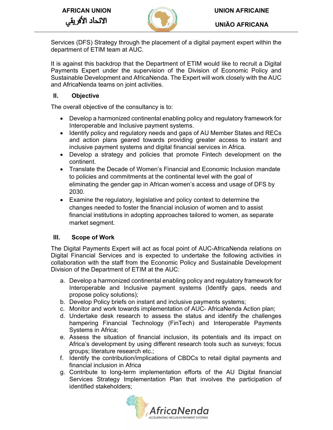

UNIÃO AFRICANA

Services (DFS) Strategy through the placement of a digital payment expert within the department of ETIM team at AUC.

It is against this backdrop that the Department of ETIM would like to recruit a Digital Payments Expert under the supervision of the Division of Economic Policy and Sustainable Development and AfricaNenda. The Expert will work closely with the AUC and AfricaNenda teams on joint activities.

## II. Objective

The overall objective of the consultancy is to:

- Develop a harmonized continental enabling policy and regulatory framework for Interoperable and Inclusive payment systems.
- Identify policy and regulatory needs and gaps of AU Member States and RECs and action plans geared towards providing greater access to instant and inclusive payment systems and digital financial services in Africa.
- Develop a strategy and policies that promote Fintech development on the continent.
- Translate the Decade of Women's Financial and Economic Inclusion mandate to policies and commitments at the continental level with the goal of eliminating the gender gap in African women's access and usage of DFS by 2030.
- Examine the regulatory, legislative and policy context to determine the changes needed to foster the financial inclusion of women and to assist financial institutions in adopting approaches tailored to women, as separate market segment.

# III. Scope of Work

The Digital Payments Expert will act as focal point of AUC-AfricaNenda relations on Digital Financial Services and is expected to undertake the following activities in collaboration with the staff from the Economic Policy and Sustainable Development Division of the Department of ETIM at the AUC:

- a. Develop a harmonized continental enabling policy and regulatory framework for Interoperable and Inclusive payment systems (Identify gaps, needs and propose policy solutions);
- b. Develop Policy briefs on instant and inclusive payments systems;
- c. Monitor and work towards implementation of AUC- AfricaNenda Action plan;
- d. Undertake desk research to assess the status and identify the challenges hampering Financial Technology (FinTech) and Interoperable Payments Systems in Africa;
- e. Assess the situation of financial inclusion, its potentials and its impact on Africa's development by using different research tools such as surveys; focus groups; literature research etc.;
- f. Identify the contribution/implications of CBDCs to retail digital payments and financial inclusion in Africa
- g. Contribute to long-term implementation efforts of the AU Digital financial Services Strategy Implementation Plan that involves the participation of identified stakeholders;

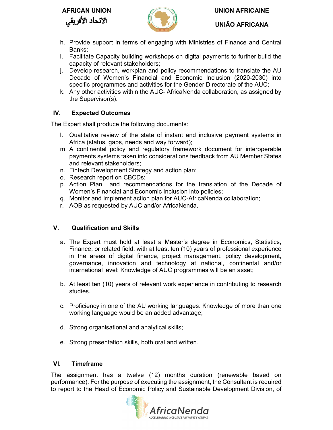

AFRICAN UNION UNION AFRICAINE

UNIÃO AFRICANA

- h. Provide support in terms of engaging with Ministries of Finance and Central Banks;
- i. Facilitate Capacity building workshops on digital payments to further build the capacity of relevant stakeholders;
- j. Develop research, workplan and policy recommendations to translate the AU Decade of Women's Financial and Economic Inclusion (2020-2030) into specific programmes and activities for the Gender Directorate of the AUC;
- k. Any other activities within the AUC- AfricaNenda collaboration, as assigned by the Supervisor(s).

# IV. Expected Outcomes

The Expert shall produce the following documents:

- l. Qualitative review of the state of instant and inclusive payment systems in Africa (status, gaps, needs and way forward);
- m. A continental policy and regulatory framework document for interoperable payments systems taken into considerations feedback from AU Member States and relevant stakeholders;
- n. Fintech Development Strategy and action plan;
- o. Research report on CBCDs;
- p. Action Plan and recommendations for the translation of the Decade of Women's Financial and Economic Inclusion into policies;
- q. Monitor and implement action plan for AUC-AfricaNenda collaboration;
- r. AOB as requested by AUC and/or AfricaNenda.

### V. Qualification and Skills

- a. The Expert must hold at least a Master's degree in Economics, Statistics, Finance, or related field, with at least ten (10) years of professional experience in the areas of digital finance, project management, policy development, governance, innovation and technology at national, continental and/or international level; Knowledge of AUC programmes will be an asset;
- b. At least ten (10) years of relevant work experience in contributing to research studies.
- c. Proficiency in one of the AU working languages. Knowledge of more than one working language would be an added advantage;
- d. Strong organisational and analytical skills;
- e. Strong presentation skills, both oral and written.

#### VI. Timeframe

The assignment has a twelve (12) months duration (renewable based on performance). For the purpose of executing the assignment, the Consultant is required to report to the Head of Economic Policy and Sustainable Development Division, of